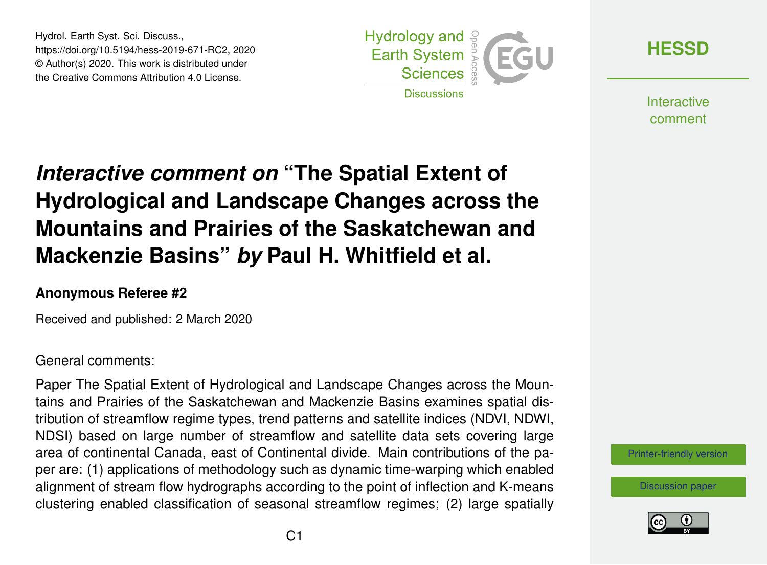Hydrol. Earth Syst. Sci. Discuss., https://doi.org/10.5194/hess-2019-671-RC2, 2020 © Author(s) 2020. This work is distributed under the Creative Commons Attribution 4.0 License.



**[HESSD](https://www.hydrol-earth-syst-sci-discuss.net/)**

**Interactive** comment

# *Interactive comment on* **"The Spatial Extent of Hydrological and Landscape Changes across the Mountains and Prairies of the Saskatchewan and Mackenzie Basins"** *by* **Paul H. Whitfield et al.**

### **Anonymous Referee #2**

Received and published: 2 March 2020

### General comments:

Paper The Spatial Extent of Hydrological and Landscape Changes across the Mountains and Prairies of the Saskatchewan and Mackenzie Basins examines spatial distribution of streamflow regime types, trend patterns and satellite indices (NDVI, NDWI, NDSI) based on large number of streamflow and satellite data sets covering large area of continental Canada, east of Continental divide. Main contributions of the paper are: (1) applications of methodology such as dynamic time-warping which enabled alignment of stream flow hydrographs according to the point of inflection and K-means clustering enabled classification of seasonal streamflow regimes; (2) large spatially

#### [Printer-friendly version](https://www.hydrol-earth-syst-sci-discuss.net/hess-2019-671/hess-2019-671-RC2-print.pdf)

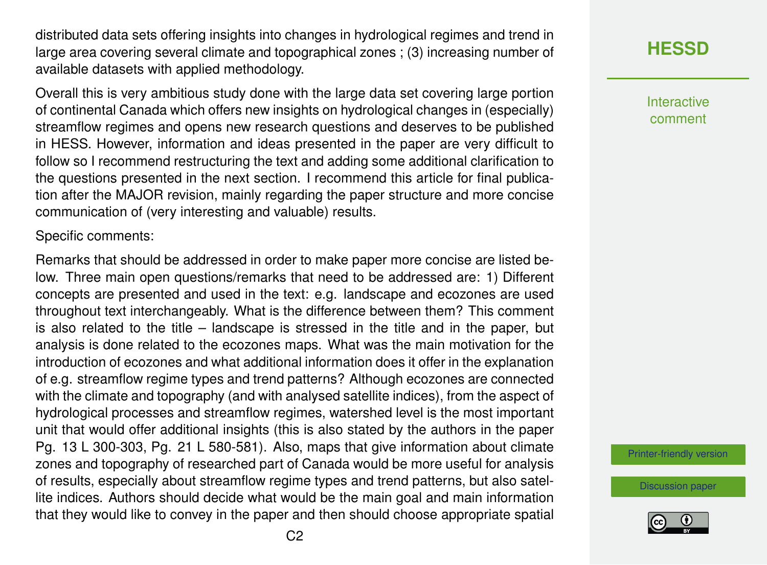distributed data sets offering insights into changes in hydrological regimes and trend in large area covering several climate and topographical zones ; (3) increasing number of available datasets with applied methodology.

Overall this is very ambitious study done with the large data set covering large portion of continental Canada which offers new insights on hydrological changes in (especially) streamflow regimes and opens new research questions and deserves to be published in HESS. However, information and ideas presented in the paper are very difficult to follow so I recommend restructuring the text and adding some additional clarification to the questions presented in the next section. I recommend this article for final publication after the MAJOR revision, mainly regarding the paper structure and more concise communication of (very interesting and valuable) results.

Specific comments:

Remarks that should be addressed in order to make paper more concise are listed below. Three main open questions/remarks that need to be addressed are: 1) Different concepts are presented and used in the text: e.g. landscape and ecozones are used throughout text interchangeably. What is the difference between them? This comment is also related to the title – landscape is stressed in the title and in the paper, but analysis is done related to the ecozones maps. What was the main motivation for the introduction of ecozones and what additional information does it offer in the explanation of e.g. streamflow regime types and trend patterns? Although ecozones are connected with the climate and topography (and with analysed satellite indices), from the aspect of hydrological processes and streamflow regimes, watershed level is the most important unit that would offer additional insights (this is also stated by the authors in the paper Pg. 13 L 300-303, Pg. 21 L 580-581). Also, maps that give information about climate zones and topography of researched part of Canada would be more useful for analysis of results, especially about streamflow regime types and trend patterns, but also satellite indices. Authors should decide what would be the main goal and main information that they would like to convey in the paper and then should choose appropriate spatial **[HESSD](https://www.hydrol-earth-syst-sci-discuss.net/)**

Interactive comment

[Printer-friendly version](https://www.hydrol-earth-syst-sci-discuss.net/hess-2019-671/hess-2019-671-RC2-print.pdf)

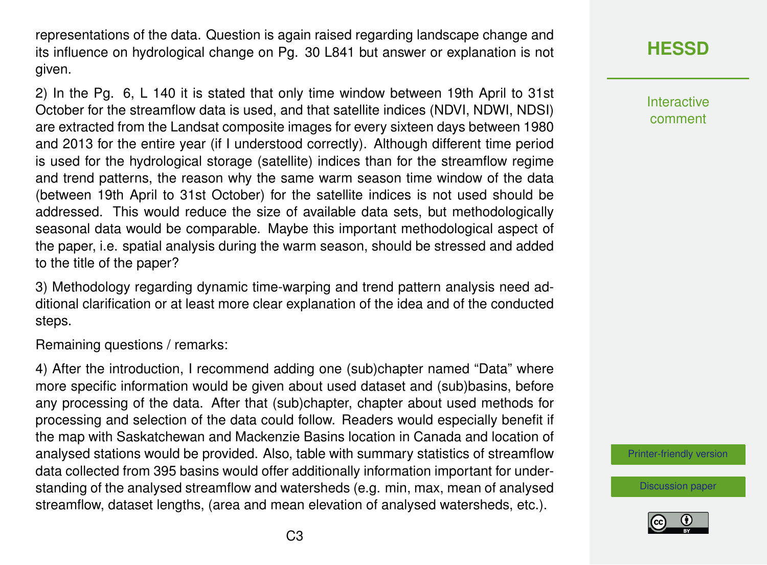representations of the data. Question is again raised regarding landscape change and its influence on hydrological change on Pg. 30 L841 but answer or explanation is not given.

2) In the Pg. 6, L 140 it is stated that only time window between 19th April to 31st October for the streamflow data is used, and that satellite indices (NDVI, NDWI, NDSI) are extracted from the Landsat composite images for every sixteen days between 1980 and 2013 for the entire year (if I understood correctly). Although different time period is used for the hydrological storage (satellite) indices than for the streamflow regime and trend patterns, the reason why the same warm season time window of the data (between 19th April to 31st October) for the satellite indices is not used should be addressed. This would reduce the size of available data sets, but methodologically seasonal data would be comparable. Maybe this important methodological aspect of the paper, i.e. spatial analysis during the warm season, should be stressed and added to the title of the paper?

3) Methodology regarding dynamic time-warping and trend pattern analysis need additional clarification or at least more clear explanation of the idea and of the conducted steps.

Remaining questions / remarks:

4) After the introduction, I recommend adding one (sub)chapter named "Data" where more specific information would be given about used dataset and (sub)basins, before any processing of the data. After that (sub)chapter, chapter about used methods for processing and selection of the data could follow. Readers would especially benefit if the map with Saskatchewan and Mackenzie Basins location in Canada and location of analysed stations would be provided. Also, table with summary statistics of streamflow data collected from 395 basins would offer additionally information important for understanding of the analysed streamflow and watersheds (e.g. min, max, mean of analysed streamflow, dataset lengths, (area and mean elevation of analysed watersheds, etc.).

# **[HESSD](https://www.hydrol-earth-syst-sci-discuss.net/)**

Interactive comment

[Printer-friendly version](https://www.hydrol-earth-syst-sci-discuss.net/hess-2019-671/hess-2019-671-RC2-print.pdf)

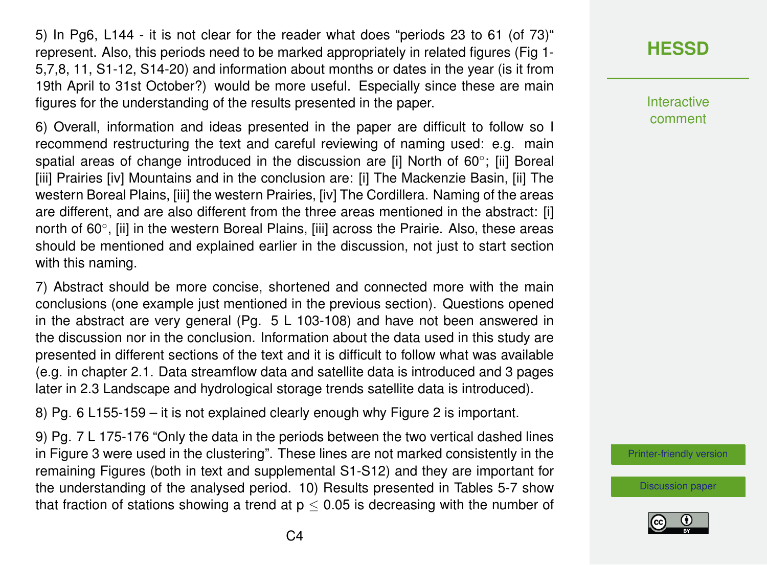5) In Pg6, L144 - it is not clear for the reader what does "periods 23 to 61 (of 73)" represent. Also, this periods need to be marked appropriately in related figures (Fig 1- 5,7,8, 11, S1-12, S14-20) and information about months or dates in the year (is it from 19th April to 31st October?) would be more useful. Especially since these are main figures for the understanding of the results presented in the paper.

6) Overall, information and ideas presented in the paper are difficult to follow so I recommend restructuring the text and careful reviewing of naming used: e.g. main spatial areas of change introduced in the discussion are [i] North of 60°; [ii] Boreal [iii] Prairies [iv] Mountains and in the conclusion are: [i] The Mackenzie Basin, [ii] The western Boreal Plains, [iii] the western Prairies, [iv] The Cordillera. Naming of the areas are different, and are also different from the three areas mentioned in the abstract: [i] north of 60°, [ii] in the western Boreal Plains, [iii] across the Prairie. Also, these areas should be mentioned and explained earlier in the discussion, not just to start section with this naming.

7) Abstract should be more concise, shortened and connected more with the main conclusions (one example just mentioned in the previous section). Questions opened in the abstract are very general (Pg. 5 L 103-108) and have not been answered in the discussion nor in the conclusion. Information about the data used in this study are presented in different sections of the text and it is difficult to follow what was available (e.g. in chapter 2.1. Data streamflow data and satellite data is introduced and 3 pages later in 2.3 Landscape and hydrological storage trends satellite data is introduced).

8) Pg. 6 L155-159 – it is not explained clearly enough why Figure 2 is important.

9) Pg. 7 L 175-176 "Only the data in the periods between the two vertical dashed lines in Figure 3 were used in the clustering". These lines are not marked consistently in the remaining Figures (both in text and supplemental S1-S12) and they are important for the understanding of the analysed period. 10) Results presented in Tables 5-7 show that fraction of stations showing a trend at  $p < 0.05$  is decreasing with the number of

## **[HESSD](https://www.hydrol-earth-syst-sci-discuss.net/)**

**Interactive** comment

[Printer-friendly version](https://www.hydrol-earth-syst-sci-discuss.net/hess-2019-671/hess-2019-671-RC2-print.pdf)